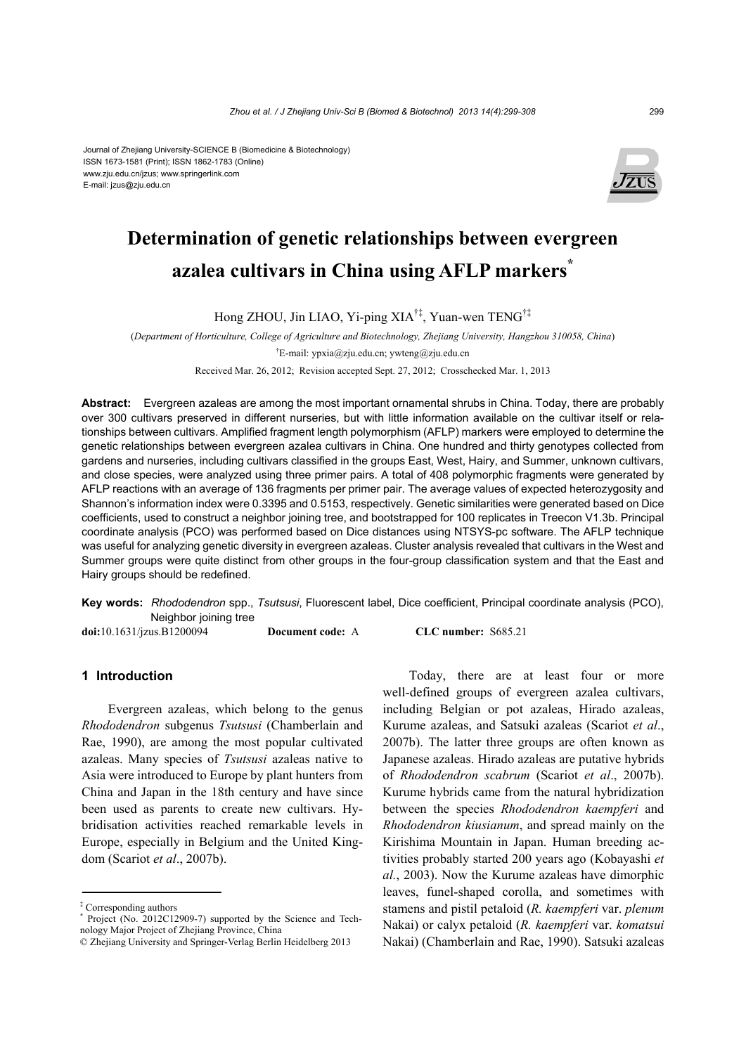#### Journal of Zhejiang University-SCIENCE B (Biomedicine & Biotechnology) ISSN 1673-1581 (Print); ISSN 1862-1783 (Online) www.zju.edu.cn/jzus; www.springerlink.com E-mail: jzus@zju.edu.cn



# **Determination of genetic relationships between evergreen azalea cultivars in China using AFLP markers\***

Hong ZHOU, Jin LIAO, Yi-ping XIA†‡, Yuan-wen TENG†‡

(*Department of Horticulture, College of Agriculture and Biotechnology, Zhejiang University, Hangzhou 310058, China*) † E-mail: ypxia@zju.edu.cn; ywteng@zju.edu.cn

Received Mar. 26, 2012; Revision accepted Sept. 27, 2012; Crosschecked Mar. 1, 2013

**Abstract:** Evergreen azaleas are among the most important ornamental shrubs in China. Today, there are probably over 300 cultivars preserved in different nurseries, but with little information available on the cultivar itself or relationships between cultivars. Amplified fragment length polymorphism (AFLP) markers were employed to determine the genetic relationships between evergreen azalea cultivars in China. One hundred and thirty genotypes collected from gardens and nurseries, including cultivars classified in the groups East, West, Hairy, and Summer, unknown cultivars, and close species, were analyzed using three primer pairs. A total of 408 polymorphic fragments were generated by AFLP reactions with an average of 136 fragments per primer pair. The average values of expected heterozygosity and Shannon's information index were 0.3395 and 0.5153, respectively. Genetic similarities were generated based on Dice coefficients, used to construct a neighbor joining tree, and bootstrapped for 100 replicates in Treecon V1.3b. Principal coordinate analysis (PCO) was performed based on Dice distances using NTSYS-pc software. The AFLP technique was useful for analyzing genetic diversity in evergreen azaleas. Cluster analysis revealed that cultivars in the West and Summer groups were quite distinct from other groups in the four-group classification system and that the East and Hairy groups should be redefined.

**Key words:** *Rhododendron* spp., *Tsutsusi*, Fluorescent label, Dice coefficient, Principal coordinate analysis (PCO), Neighbor joining tree

**doi:**10.1631/jzus.B1200094 **Document code:** A **CLC number:** S685.21

## **1 Introduction**

Evergreen azaleas, which belong to the genus *Rhododendron* subgenus *Tsutsusi* (Chamberlain and Rae, 1990), are among the most popular cultivated azaleas. Many species of *Tsutsusi* azaleas native to Asia were introduced to Europe by plant hunters from China and Japan in the 18th century and have since been used as parents to create new cultivars. Hybridisation activities reached remarkable levels in Europe, especially in Belgium and the United Kingdom (Scariot *et al*., 2007b).

Today, there are at least four or more well-defined groups of evergreen azalea cultivars, including Belgian or pot azaleas, Hirado azaleas, Kurume azaleas, and Satsuki azaleas (Scariot *et al*., 2007b). The latter three groups are often known as Japanese azaleas. Hirado azaleas are putative hybrids of *Rhododendron scabrum* (Scariot *et al*., 2007b). Kurume hybrids came from the natural hybridization between the species *Rhododendron kaempferi* and *Rhododendron kiusianum*, and spread mainly on the Kirishima Mountain in Japan. Human breeding activities probably started 200 years ago (Kobayashi *et al.*, 2003). Now the Kurume azaleas have dimorphic leaves, funel-shaped corolla, and sometimes with stamens and pistil petaloid (*R. kaempferi* var. *plenum* Nakai) or calyx petaloid (*R. kaempferi* var. *komatsui* Nakai) (Chamberlain and Rae, 1990). Satsuki azaleas

<sup>‡</sup> Corresponding authors

<sup>\*</sup> Project (No. 2012C12909-7) supported by the Science and Technology Major Project of Zhejiang Province, China

<sup>©</sup> Zhejiang University and Springer-Verlag Berlin Heidelberg 2013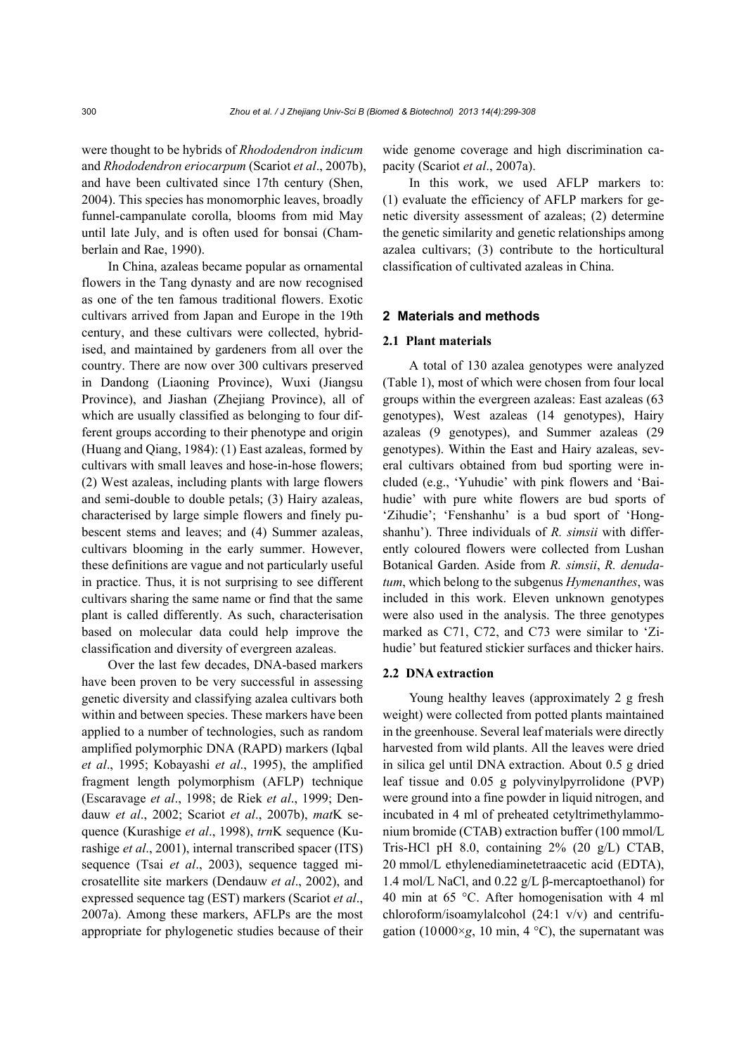were thought to be hybrids of *Rhododendron indicum* and *Rhododendron eriocarpum* (Scariot *et al*., 2007b), and have been cultivated since 17th century (Shen, 2004). This species has monomorphic leaves, broadly funnel-campanulate corolla, blooms from mid May until late July, and is often used for bonsai (Chamberlain and Rae, 1990).

In China, azaleas became popular as ornamental flowers in the Tang dynasty and are now recognised as one of the ten famous traditional flowers. Exotic cultivars arrived from Japan and Europe in the 19th century, and these cultivars were collected, hybridised, and maintained by gardeners from all over the country. There are now over 300 cultivars preserved in Dandong (Liaoning Province), Wuxi (Jiangsu Province), and Jiashan (Zhejiang Province), all of which are usually classified as belonging to four different groups according to their phenotype and origin (Huang and Qiang, 1984): (1) East azaleas, formed by cultivars with small leaves and hose-in-hose flowers; (2) West azaleas, including plants with large flowers and semi-double to double petals; (3) Hairy azaleas, characterised by large simple flowers and finely pubescent stems and leaves; and (4) Summer azaleas, cultivars blooming in the early summer. However, these definitions are vague and not particularly useful in practice. Thus, it is not surprising to see different cultivars sharing the same name or find that the same plant is called differently. As such, characterisation based on molecular data could help improve the classification and diversity of evergreen azaleas.

Over the last few decades, DNA-based markers have been proven to be very successful in assessing genetic diversity and classifying azalea cultivars both within and between species. These markers have been applied to a number of technologies, such as random amplified polymorphic DNA (RAPD) markers (Iqbal *et al*., 1995; Kobayashi *et al*., 1995), the amplified fragment length polymorphism (AFLP) technique (Escaravage *et al*., 1998; de Riek *et al*., 1999; Dendauw *et al*., 2002; Scariot *et al*., 2007b), *mat*K sequence (Kurashige *et al*., 1998), *trn*K sequence (Kurashige *et al*., 2001), internal transcribed spacer (ITS) sequence (Tsai *et al*., 2003), sequence tagged microsatellite site markers (Dendauw *et al*., 2002), and expressed sequence tag (EST) markers (Scariot *et al*., 2007a). Among these markers, AFLPs are the most appropriate for phylogenetic studies because of their wide genome coverage and high discrimination capacity (Scariot *et al*., 2007a).

In this work, we used AFLP markers to: (1) evaluate the efficiency of AFLP markers for genetic diversity assessment of azaleas; (2) determine the genetic similarity and genetic relationships among azalea cultivars; (3) contribute to the horticultural classification of cultivated azaleas in China.

#### **2 Materials and methods**

#### **2.1 Plant materials**

A total of 130 azalea genotypes were analyzed (Table 1), most of which were chosen from four local groups within the evergreen azaleas: East azaleas (63 genotypes), West azaleas (14 genotypes), Hairy azaleas (9 genotypes), and Summer azaleas (29 genotypes). Within the East and Hairy azaleas, several cultivars obtained from bud sporting were included (e.g., 'Yuhudie' with pink flowers and 'Baihudie' with pure white flowers are bud sports of 'Zihudie'; 'Fenshanhu' is a bud sport of 'Hongshanhu'). Three individuals of *R. simsii* with differently coloured flowers were collected from Lushan Botanical Garden. Aside from *R. simsii*, *R. denudatum*, which belong to the subgenus *Hymenanthes*, was included in this work. Eleven unknown genotypes were also used in the analysis. The three genotypes marked as C71, C72, and C73 were similar to 'Zihudie' but featured stickier surfaces and thicker hairs.

#### **2.2 DNA extraction**

Young healthy leaves (approximately 2 g fresh weight) were collected from potted plants maintained in the greenhouse. Several leaf materials were directly harvested from wild plants. All the leaves were dried in silica gel until DNA extraction. About 0.5 g dried leaf tissue and 0.05 g polyvinylpyrrolidone (PVP) were ground into a fine powder in liquid nitrogen, and incubated in 4 ml of preheated cetyltrimethylammonium bromide (CTAB) extraction buffer (100 mmol/L Tris-HCl pH 8.0, containing 2% (20 g/L) CTAB, 20 mmol/L ethylenediaminetetraacetic acid (EDTA), 1.4 mol/L NaCl, and 0.22 g/L β-mercaptoethanol) for 40 min at 65 °C. After homogenisation with 4 ml chloroform/isoamylalcohol (24:1 v/v) and centrifugation (10000 $\times$ *g*, 10 min, 4  $\degree$ C), the supernatant was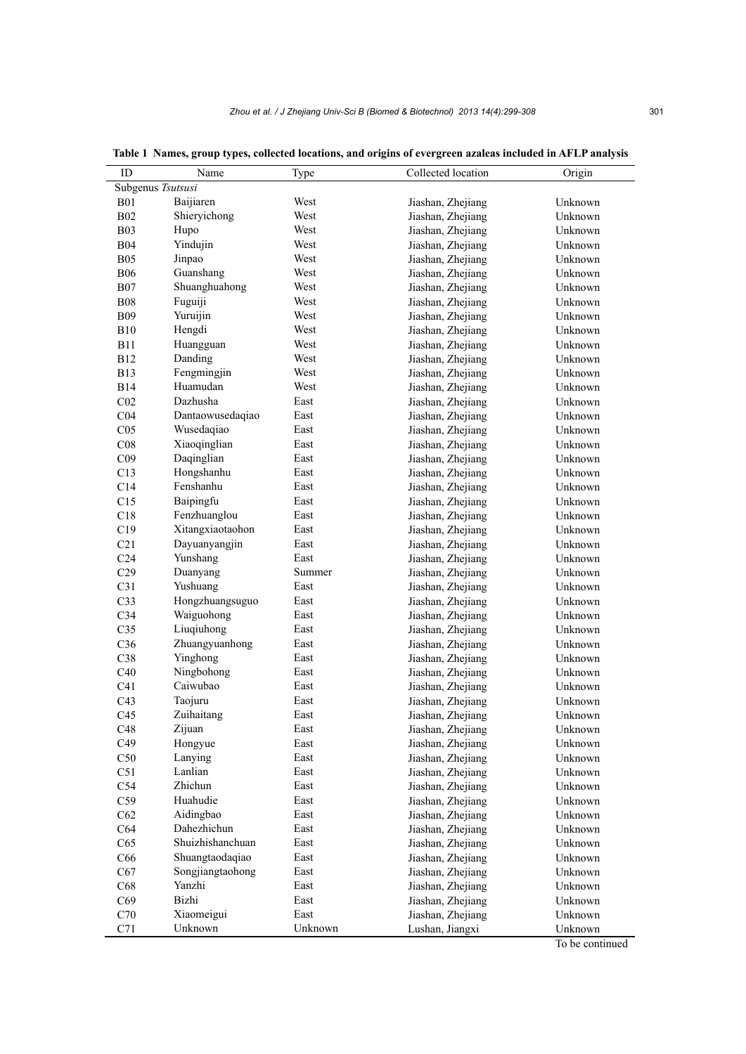| ID                | Name             | Type    | Collected location                     | Origin  |  |  |
|-------------------|------------------|---------|----------------------------------------|---------|--|--|
| Subgenus Tsutsusi |                  |         |                                        |         |  |  |
| <b>B01</b>        | Baijiaren        | West    | Jiashan, Zhejiang                      | Unknown |  |  |
| <b>B02</b>        | Shieryichong     | West    | Jiashan, Zhejiang                      | Unknown |  |  |
| <b>B03</b>        | Hupo             | West    | Jiashan, Zhejiang                      | Unknown |  |  |
| <b>B04</b>        | Yindujin         | West    | Jiashan, Zhejiang                      | Unknown |  |  |
| <b>B05</b>        | Jinpao           | West    | Jiashan, Zhejiang                      | Unknown |  |  |
| <b>B06</b>        | Guanshang        | West    | Jiashan, Zhejiang                      | Unknown |  |  |
| <b>B07</b>        | Shuanghuahong    | West    | Jiashan, Zhejiang                      | Unknown |  |  |
| <b>B08</b>        | Fuguiji          | West    | Jiashan, Zhejiang                      | Unknown |  |  |
| <b>B09</b>        | Yuruijin         | West    | Jiashan, Zhejiang                      | Unknown |  |  |
| <b>B10</b>        | Hengdi           | West    | Jiashan, Zhejiang                      | Unknown |  |  |
| <b>B11</b>        | Huangguan        | West    | Jiashan, Zhejiang                      | Unknown |  |  |
| <b>B12</b>        | Danding          | West    | Jiashan, Zhejiang                      | Unknown |  |  |
| <b>B13</b>        | Fengmingjin      | West    | Jiashan, Zhejiang                      | Unknown |  |  |
| <b>B14</b>        | Huamudan         | West    | Jiashan, Zhejiang                      | Unknown |  |  |
| C <sub>02</sub>   | Dazhusha         | East    | Jiashan, Zhejiang                      | Unknown |  |  |
| C <sub>04</sub>   | Dantaowusedaqiao | East    | Jiashan, Zhejiang                      | Unknown |  |  |
| C <sub>05</sub>   | Wusedaqiao       | East    | Jiashan, Zhejiang                      | Unknown |  |  |
| C <sub>08</sub>   | Xiaoqinglian     | East    |                                        | Unknown |  |  |
|                   | Daqinglian       | East    | Jiashan, Zhejiang<br>Jiashan, Zhejiang |         |  |  |
| C <sub>09</sub>   | Hongshanhu       | East    |                                        | Unknown |  |  |
| C13               | Fenshanhu        |         | Jiashan, Zhejiang                      | Unknown |  |  |
| C14               |                  | East    | Jiashan, Zhejiang                      | Unknown |  |  |
| C15               | Baipingfu        | East    | Jiashan, Zhejiang                      | Unknown |  |  |
| C18               | Fenzhuanglou     | East    | Jiashan, Zhejiang                      | Unknown |  |  |
| C19               | Xitangxiaotaohon | East    | Jiashan, Zhejiang                      | Unknown |  |  |
| C21               | Dayuanyangjin    | East    | Jiashan, Zhejiang                      | Unknown |  |  |
| C <sub>24</sub>   | Yunshang         | East    | Jiashan, Zhejiang                      | Unknown |  |  |
| C29               | Duanyang         | Summer  | Jiashan, Zhejiang                      | Unknown |  |  |
| C31               | Yushuang         | East    | Jiashan, Zhejiang                      | Unknown |  |  |
| C33               | Hongzhuangsuguo  | East    | Jiashan, Zhejiang                      | Unknown |  |  |
| C <sub>34</sub>   | Waiguohong       | East    | Jiashan, Zhejiang                      | Unknown |  |  |
| C <sub>35</sub>   | Liuqiuhong       | East    | Jiashan, Zhejiang                      | Unknown |  |  |
| C36               | Zhuangyuanhong   | East    | Jiashan, Zhejiang                      | Unknown |  |  |
| C38               | Yinghong         | East    | Jiashan, Zhejiang                      | Unknown |  |  |
| C40               | Ningbohong       | East    | Jiashan, Zhejiang                      | Unknown |  |  |
| C41               | Caiwubao         | East    | Jiashan, Zhejiang                      | Unknown |  |  |
| C43               | Taojuru          | East    | Jiashan, Zhejiang                      | Unknown |  |  |
| C45               | Zuihaitang       | East    | Jiashan, Zhejiang                      | Unknown |  |  |
| C48               | Zijuan           | East    | Jiashan, Zhejiang                      | Unknown |  |  |
| C49               | Hongyue          | East    | Jiashan, Zhejiang                      | Unknown |  |  |
| C50               | Lanying          | East    | Jiashan, Zhejiang                      | Unknown |  |  |
| C51               | Lanlian          | East    | Jiashan, Zhejiang                      | Unknown |  |  |
| C54               | Zhichun          | East    | Jiashan, Zhejiang                      | Unknown |  |  |
| C59               | Huahudie         | East    | Jiashan, Zhejiang                      | Unknown |  |  |
| C62               | Aidingbao        | East    | Jiashan, Zhejiang                      | Unknown |  |  |
| C64               | Dahezhichun      | East    | Jiashan, Zhejiang                      | Unknown |  |  |
| C65               | Shuizhishanchuan | East    | Jiashan, Zhejiang                      | Unknown |  |  |
| C66               | Shuangtaodaqiao  | East    | Jiashan, Zhejiang                      | Unknown |  |  |
| C67               | Songjiangtaohong | East    | Jiashan, Zhejiang                      | Unknown |  |  |
| C68               | Yanzhi           | East    | Jiashan, Zhejiang                      | Unknown |  |  |
| C69               | Bizhi            | East    | Jiashan, Zhejiang                      | Unknown |  |  |
| C70               | Xiaomeigui       | East    | Jiashan, Zhejiang                      | Unknown |  |  |
| C71               | Unknown          | Unknown | Lushan, Jiangxi                        | Unknown |  |  |
|                   |                  |         |                                        |         |  |  |

**Table 1 Names, group types, collected locations, and origins of evergreen azaleas included in AFLP analysis**

To be continued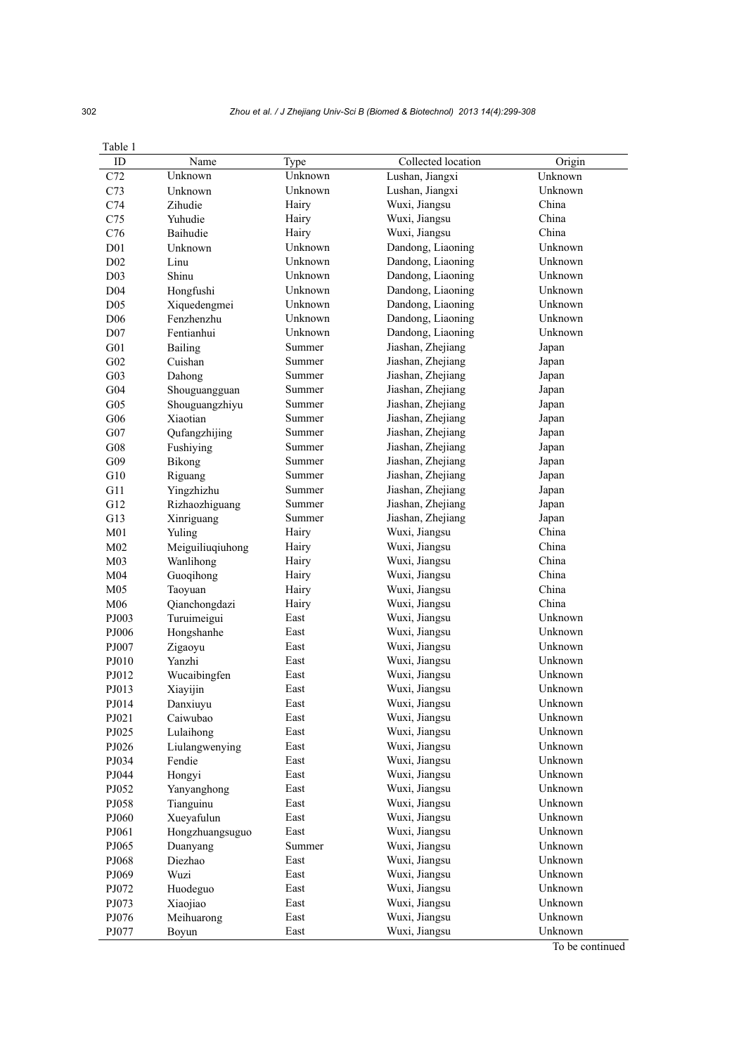| Table 1         |                  |         |                    |         |
|-----------------|------------------|---------|--------------------|---------|
| ID              | Name             | Type    | Collected location | Origin  |
| C72             | Unknown          | Unknown | Lushan, Jiangxi    | Unknown |
| C73             | Unknown          | Unknown | Lushan, Jiangxi    | Unknown |
| C74             | Zihudie          | Hairy   | Wuxi, Jiangsu      | China   |
| C75             | Yuhudie          | Hairy   | Wuxi, Jiangsu      | China   |
| C76             | Baihudie         | Hairy   | Wuxi, Jiangsu      | China   |
| D <sub>01</sub> | Unknown          | Unknown | Dandong, Liaoning  | Unknown |
| D <sub>02</sub> | Linu             | Unknown | Dandong, Liaoning  | Unknown |
| D <sub>03</sub> | Shinu            | Unknown | Dandong, Liaoning  | Unknown |
| D <sub>04</sub> | Hongfushi        | Unknown | Dandong, Liaoning  | Unknown |
| D <sub>05</sub> | Xiquedengmei     | Unknown | Dandong, Liaoning  | Unknown |
| D <sub>06</sub> | Fenzhenzhu       | Unknown | Dandong, Liaoning  | Unknown |
| D07             | Fentianhui       | Unknown | Dandong, Liaoning  | Unknown |
| G01             | Bailing          | Summer  | Jiashan, Zhejiang  | Japan   |
| G <sub>02</sub> | Cuishan          | Summer  | Jiashan, Zhejiang  | Japan   |
| G03             | Dahong           | Summer  | Jiashan, Zhejiang  | Japan   |
| G04             | Shouguangguan    | Summer  | Jiashan, Zhejiang  | Japan   |
| G <sub>05</sub> | Shouguangzhiyu   | Summer  | Jiashan, Zhejiang  | Japan   |
| G06             | Xiaotian         | Summer  | Jiashan, Zhejiang  | Japan   |
| G07             | Qufangzhijing    | Summer  | Jiashan, Zhejiang  | Japan   |
| G08             | Fushiying        | Summer  | Jiashan, Zhejiang  | Japan   |
| G09             | Bikong           | Summer  | Jiashan, Zhejiang  | Japan   |
| G10             | Riguang          | Summer  | Jiashan, Zhejiang  | Japan   |
| G11             | Yingzhizhu       | Summer  | Jiashan, Zhejiang  | Japan   |
| G12             | Rizhaozhiguang   | Summer  | Jiashan, Zhejiang  | Japan   |
| G13             | Xinriguang       | Summer  | Jiashan, Zhejiang  | Japan   |
| M <sub>01</sub> | Yuling           | Hairy   | Wuxi, Jiangsu      | China   |
| M <sub>02</sub> | Meiguiliuqiuhong | Hairy   | Wuxi, Jiangsu      | China   |
| M <sub>03</sub> | Wanlihong        | Hairy   | Wuxi, Jiangsu      | China   |
| M <sub>04</sub> | Guoqihong        | Hairy   | Wuxi, Jiangsu      | China   |
| M <sub>05</sub> | Taoyuan          | Hairy   | Wuxi, Jiangsu      | China   |
| M06             | Qianchongdazi    | Hairy   | Wuxi, Jiangsu      | China   |
| PJ003           | Turuimeigui      | East    | Wuxi, Jiangsu      | Unknown |
| PJ006           | Hongshanhe       | East    | Wuxi, Jiangsu      | Unknown |
| PJ007           | Zigaoyu          | East    | Wuxi, Jiangsu      | Unknown |
| PJ010           | Yanzhi           | East    | Wuxi, Jiangsu      | Unknown |
| PJ012           | Wucaibingfen     | East    | Wuxi, Jiangsu      | Unknown |
| PJ013           | Xiayijin         | East    | Wuxi, Jiangsu      | Unknown |
| PJ014           | Danxiuyu         | East    | Wuxi, Jiangsu      | Unknown |
| PJ021           | Caiwubao         | East    | Wuxi, Jiangsu      | Unknown |
| PJ025           | Lulaihong        | East    | Wuxi, Jiangsu      | Unknown |
| PJ026           | Liulangwenying   | East    | Wuxi, Jiangsu      | Unknown |
| PJ034           | Fendie           | East    | Wuxi, Jiangsu      | Unknown |
| PJ044           | Hongyi           | East    | Wuxi, Jiangsu      | Unknown |
| PJ052           | Yanyanghong      | East    | Wuxi, Jiangsu      | Unknown |
| PJ058           | Tianguinu        | East    | Wuxi, Jiangsu      | Unknown |
| PJ060           | Xueyafulun       | East    | Wuxi, Jiangsu      | Unknown |
| PJ061           | Hongzhuangsuguo  | East    | Wuxi, Jiangsu      | Unknown |
| PJ065           | Duanyang         | Summer  | Wuxi, Jiangsu      | Unknown |
| PJ068           | Diezhao          | East    | Wuxi, Jiangsu      | Unknown |
| PJ069           | Wuzi             | East    | Wuxi, Jiangsu      | Unknown |
| PJ072           | Huodeguo         | East    | Wuxi, Jiangsu      | Unknown |
| PJ073           | Xiaojiao         | East    | Wuxi, Jiangsu      | Unknown |
| PJ076           | Meihuarong       | East    | Wuxi, Jiangsu      | Unknown |
| PJ077           | Boyun            | East    | Wuxi, Jiangsu      | Unknown |

To be continued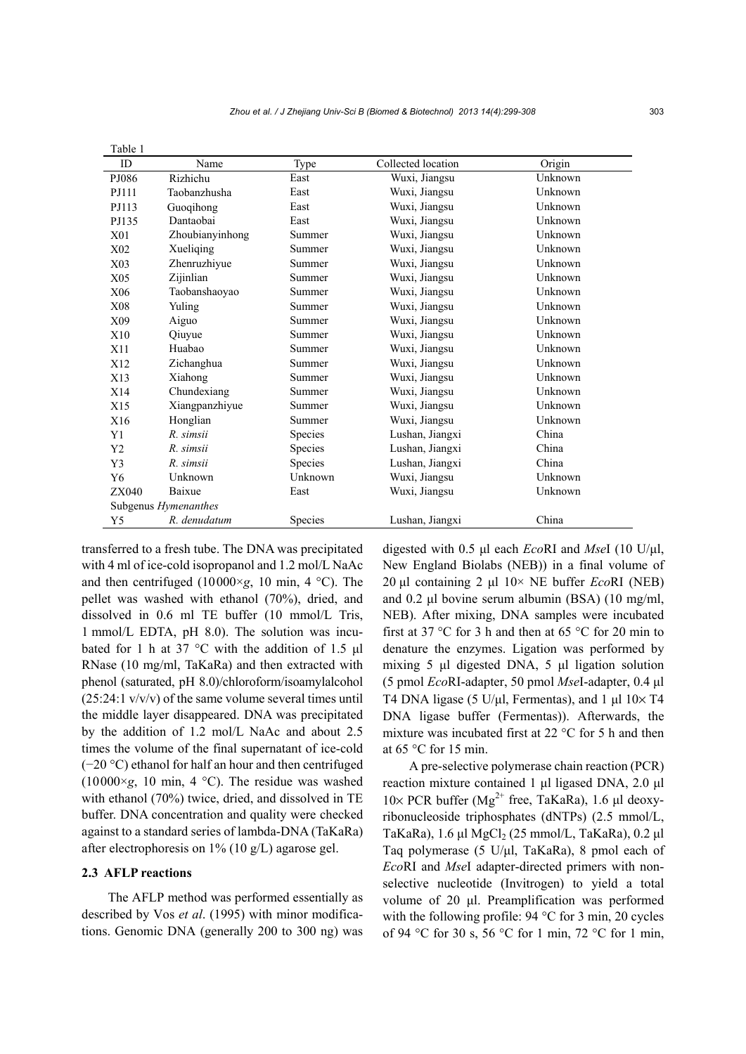| Table 1              |                                        |         |                    |         |  |
|----------------------|----------------------------------------|---------|--------------------|---------|--|
| ID                   | Name                                   | Type    | Collected location | Origin  |  |
| PJ086                | Rizhichu                               | East    | Wuxi, Jiangsu      | Unknown |  |
| PJ111                | Taobanzhusha                           | East    | Wuxi, Jiangsu      | Unknown |  |
| PJ113                | Guoqihong                              | East    | Wuxi, Jiangsu      | Unknown |  |
| PJ135                | Dantaobai                              | East    | Wuxi, Jiangsu      | Unknown |  |
| X01                  | Zhoubianyinhong                        | Summer  | Wuxi, Jiangsu      | Unknown |  |
| X <sub>0</sub> 2     | Xueliqing                              | Summer  | Wuxi, Jiangsu      | Unknown |  |
| X03                  | Zhenruzhiyue                           | Summer  | Wuxi, Jiangsu      | Unknown |  |
| X05                  | Zijinlian                              | Summer  | Wuxi, Jiangsu      | Unknown |  |
| X06                  | Taobanshaoyao                          | Summer  | Wuxi, Jiangsu      | Unknown |  |
| X08                  | Yuling                                 | Summer  | Wuxi, Jiangsu      | Unknown |  |
| X09                  | Aiguo                                  | Summer  | Wuxi, Jiangsu      | Unknown |  |
| X10                  | Qiuyue                                 | Summer  | Wuxi, Jiangsu      | Unknown |  |
| X11                  | Huabao                                 | Summer  | Wuxi, Jiangsu      | Unknown |  |
| X12                  | Zichanghua                             | Summer  | Wuxi, Jiangsu      | Unknown |  |
| X13                  | Xiahong                                | Summer  | Wuxi, Jiangsu      | Unknown |  |
| X14                  | Chundexiang                            | Summer  | Wuxi, Jiangsu      | Unknown |  |
| X15                  | Xiangpanzhiyue                         | Summer  | Wuxi, Jiangsu      | Unknown |  |
| X16                  | Honglian                               | Summer  | Wuxi, Jiangsu      | Unknown |  |
| Y1                   | $R. \, \text{s} \text{im} \text{s}$ ii | Species | Lushan, Jiangxi    | China   |  |
| Y2                   | R. simsii                              | Species | Lushan, Jiangxi    | China   |  |
| Y3                   | R. simsii                              | Species | Lushan, Jiangxi    | China   |  |
| Y <sub>6</sub>       | Unknown                                | Unknown | Wuxi, Jiangsu      | Unknown |  |
| ZX040                | Baixue                                 | East    | Wuxi, Jiangsu      | Unknown |  |
| Subgenus Hymenanthes |                                        |         |                    |         |  |
| Y5                   | R. denudatum                           | Species | Lushan, Jiangxi    | China   |  |

transferred to a fresh tube. The DNA was precipitated with 4 ml of ice-cold isopropanol and 1.2 mol/L NaAc and then centrifuged (10000×*g*, 10 min, 4  $\degree$ C). The pellet was washed with ethanol (70%), dried, and dissolved in 0.6 ml TE buffer (10 mmol/L Tris, 1 mmol/L EDTA, pH 8.0). The solution was incubated for 1 h at 37  $\degree$ C with the addition of 1.5 μl RNase (10 mg/ml, TaKaRa) and then extracted with phenol (saturated, pH 8.0)/chloroform/isoamylalcohol  $(25:24:1 \text{ v/v/v})$  of the same volume several times until the middle layer disappeared. DNA was precipitated by the addition of 1.2 mol/L NaAc and about 2.5 times the volume of the final supernatant of ice-cold (−20 °C) ethanol for half an hour and then centrifuged  $(10000\times g, 10 \text{ min}, 4 \text{ °C})$ . The residue was washed with ethanol (70%) twice, dried, and dissolved in TE buffer. DNA concentration and quality were checked against to a standard series of lambda-DNA (TaKaRa) after electrophoresis on 1% (10 g/L) agarose gel.

# **2.3 AFLP reactions**

The AFLP method was performed essentially as described by Vos *et al*. (1995) with minor modifications. Genomic DNA (generally 200 to 300 ng) was digested with 0.5 μl each *Eco*RI and *Mse*I (10 U/μl, New England Biolabs (NEB)) in a final volume of 20 μl containing 2 μl 10× NE buffer *Eco*RI (NEB) and 0.2 μl bovine serum albumin (BSA) (10 mg/ml, NEB). After mixing, DNA samples were incubated first at 37 °C for 3 h and then at 65 °C for 20 min to denature the enzymes. Ligation was performed by mixing 5 μl digested DNA, 5 μl ligation solution (5 pmol *Eco*RI-adapter, 50 pmol *Mse*I-adapter, 0.4 μl T4 DNA ligase (5 U/μl, Fermentas), and 1 μl  $10\times$  T4 DNA ligase buffer (Fermentas)). Afterwards, the mixture was incubated first at 22 °C for 5 h and then at 65 °C for 15 min.

A pre-selective polymerase chain reaction (PCR) reaction mixture contained 1 μl ligased DNA, 2.0 μl  $10\times$  PCR buffer (Mg<sup>2+</sup> free, TaKaRa), 1.6 μl deoxyribonucleoside triphosphates (dNTPs) (2.5 mmol/L, TaKaRa), 1.6 μl MgCl<sub>2</sub> (25 mmol/L, TaKaRa), 0.2 μl Taq polymerase (5 U/μl, TaKaRa), 8 pmol each of *Eco*RI and *Mse*I adapter-directed primers with nonselective nucleotide (Invitrogen) to yield a total volume of 20 μl. Preamplification was performed with the following profile: 94 °C for 3 min, 20 cycles of 94 °C for 30 s, 56 °C for 1 min, 72 °C for 1 min,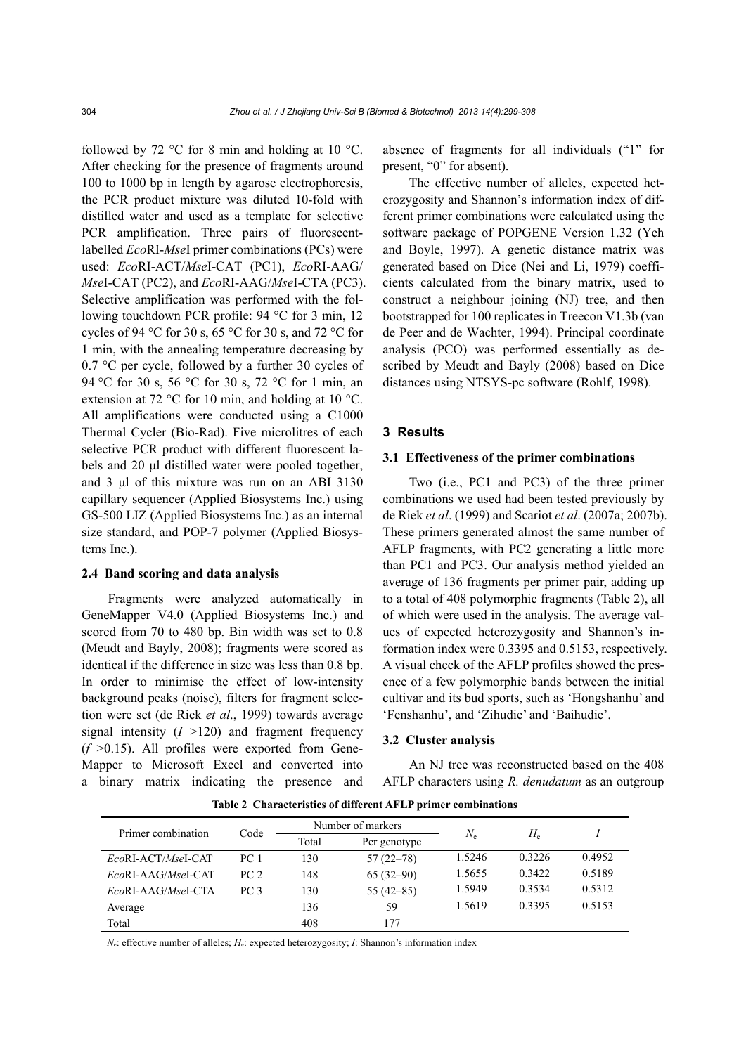followed by 72  $\degree$ C for 8 min and holding at 10  $\degree$ C. After checking for the presence of fragments around 100 to 1000 bp in length by agarose electrophoresis, the PCR product mixture was diluted 10-fold with distilled water and used as a template for selective PCR amplification. Three pairs of fluorescentlabelled *Eco*RI-*Mse*I primer combinations (PCs) were used: *Eco*RI-ACT/*Mse*I-CAT (PC1), *Eco*RI-AAG/ *Mse*I-CAT (PC2), and *Eco*RI-AAG/*Mse*I-CTA (PC3). Selective amplification was performed with the following touchdown PCR profile: 94 °C for 3 min, 12 cycles of 94 °C for 30 s, 65 °C for 30 s, and 72 °C for 1 min, with the annealing temperature decreasing by 0.7 °C per cycle, followed by a further 30 cycles of 94 °C for 30 s, 56 °C for 30 s, 72 °C for 1 min, an extension at 72 °C for 10 min, and holding at 10 °C. All amplifications were conducted using a C1000 Thermal Cycler (Bio-Rad). Five microlitres of each selective PCR product with different fluorescent labels and 20 μl distilled water were pooled together, and 3 μl of this mixture was run on an ABI 3130 capillary sequencer (Applied Biosystems Inc.) using GS-500 LIZ (Applied Biosystems Inc.) as an internal size standard, and POP-7 polymer (Applied Biosystems Inc.).

### **2.4 Band scoring and data analysis**

Fragments were analyzed automatically in GeneMapper V4.0 (Applied Biosystems Inc.) and scored from 70 to 480 bp. Bin width was set to 0.8 (Meudt and Bayly, 2008); fragments were scored as identical if the difference in size was less than 0.8 bp. In order to minimise the effect of low-intensity background peaks (noise), filters for fragment selection were set (de Riek *et al*., 1999) towards average signal intensity (*I* >120) and fragment frequency  $(f > 0.15)$ . All profiles were exported from Gene-Mapper to Microsoft Excel and converted into a binary matrix indicating the presence and

absence of fragments for all individuals ("1" for present, "0" for absent).

The effective number of alleles, expected heterozygosity and Shannon's information index of different primer combinations were calculated using the software package of POPGENE Version 1.32 (Yeh and Boyle, 1997). A genetic distance matrix was generated based on Dice (Nei and Li, 1979) coefficients calculated from the binary matrix, used to construct a neighbour joining (NJ) tree, and then bootstrapped for 100 replicates in Treecon V1.3b (van de Peer and de Wachter, 1994). Principal coordinate analysis (PCO) was performed essentially as described by Meudt and Bayly (2008) based on Dice distances using NTSYS-pc software (Rohlf, 1998).

## **3 Results**

#### **3.1 Effectiveness of the primer combinations**

Two (i.e., PC1 and PC3) of the three primer combinations we used had been tested previously by de Riek *et al*. (1999) and Scariot *et al*. (2007a; 2007b). These primers generated almost the same number of AFLP fragments, with PC2 generating a little more than PC1 and PC3. Our analysis method yielded an average of 136 fragments per primer pair, adding up to a total of 408 polymorphic fragments (Table 2), all of which were used in the analysis. The average values of expected heterozygosity and Shannon's information index were 0.3395 and 0.5153, respectively. A visual check of the AFLP profiles showed the presence of a few polymorphic bands between the initial cultivar and its bud sports, such as 'Hongshanhu' and 'Fenshanhu', and 'Zihudie' and 'Baihudie'.

#### **3.2 Cluster analysis**

An NJ tree was reconstructed based on the 408 AFLP characters using *R. denudatum* as an outgroup

**Table 2 Characteristics of different AFLP primer combinations** 

| Primer combination   | Code            | Number of markers |               |             |             |        |
|----------------------|-----------------|-------------------|---------------|-------------|-------------|--------|
|                      |                 | Total             | Per genotype  | $N_{\rm e}$ | $H_{\rm e}$ |        |
| EcoRI-ACT/MseI-CAT   | PC <sub>1</sub> | 130               | $57(22 - 78)$ | 1.5246      | 0.3226      | 0.4952 |
| $EcoRI-AAG/MseI-CAT$ | PC2             | 148               | $65(32-90)$   | 1.5655      | 0.3422      | 0.5189 |
| EcoRI-AAG/MseI-CTA   | PC <sub>3</sub> | 130               | $55(42 - 85)$ | 1.5949      | 0.3534      | 0.5312 |
| Average              |                 | 136               | 59            | 1.5619      | 0.3395      | 0.5153 |
| Total                |                 | 408               | 77            |             |             |        |

 $N_e$ : effective number of alleles;  $H_e$ : expected heterozygosity; *I*: Shannon's information index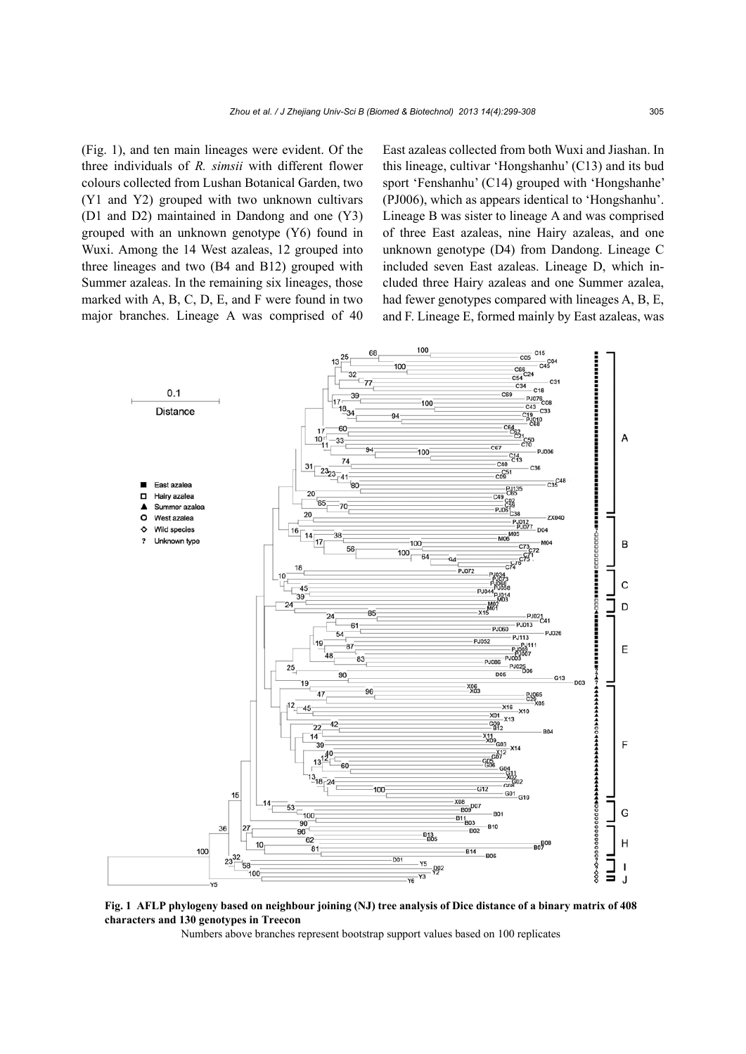(Fig. 1), and ten main lineages were evident. Of the three individuals of *R. simsii* with different flower colours collected from Lushan Botanical Garden, two (Y1 and Y2) grouped with two unknown cultivars (D1 and D2) maintained in Dandong and one (Y3) grouped with an unknown genotype (Y6) found in Wuxi. Among the 14 West azaleas, 12 grouped into three lineages and two (B4 and B12) grouped with Summer azaleas. In the remaining six lineages, those marked with A, B, C, D, E, and F were found in two major branches. Lineage A was comprised of 40

East azaleas collected from both Wuxi and Jiashan. In this lineage, cultivar 'Hongshanhu' (C13) and its bud sport 'Fenshanhu' (C14) grouped with 'Hongshanhe' (PJ006), which as appears identical to 'Hongshanhu'. Lineage B was sister to lineage A and was comprised of three East azaleas, nine Hairy azaleas, and one unknown genotype (D4) from Dandong. Lineage C included seven East azaleas. Lineage D, which included three Hairy azaleas and one Summer azalea, had fewer genotypes compared with lineages A, B, E, and F. Lineage E, formed mainly by East azaleas, was



**Fig. 1 AFLP phylogeny based on neighbour joining (NJ) tree analysis of Dice distance of a binary matrix of 408 characters and 130 genotypes in Treecon** 

Numbers above branches represent bootstrap support values based on 100 replicates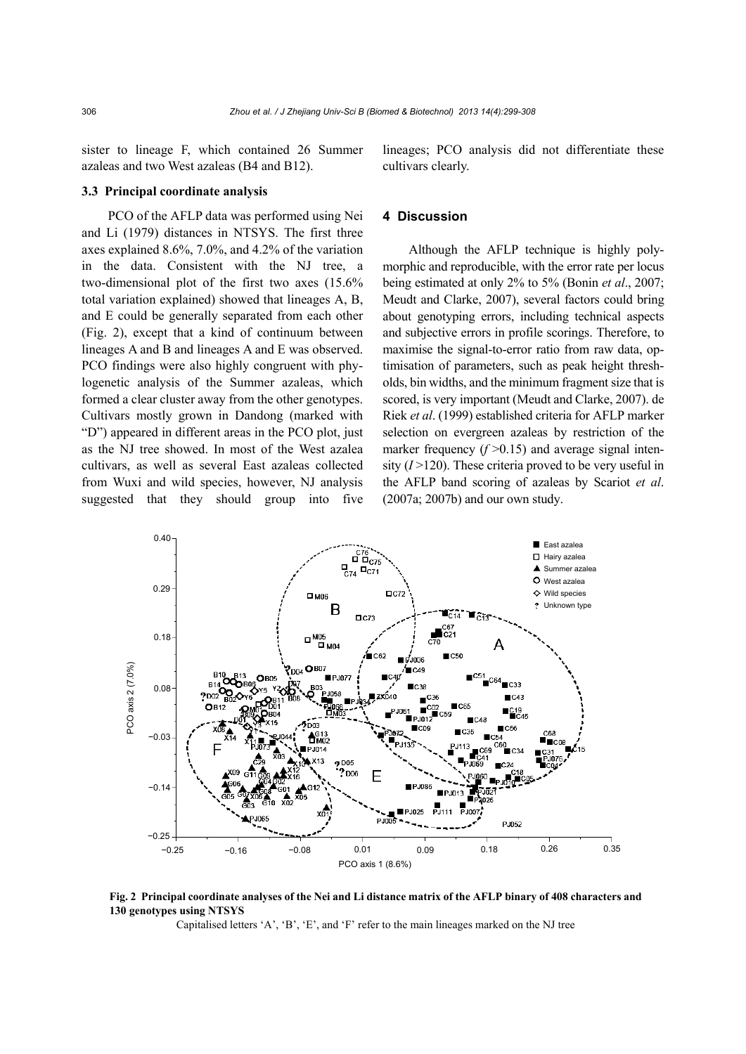sister to lineage F, which contained 26 Summer azaleas and two West azaleas (B4 and B12).

#### **3.3 Principal coordinate analysis**

PCO of the AFLP data was performed using Nei and Li (1979) distances in NTSYS. The first three axes explained 8.6%, 7.0%, and 4.2% of the variation in the data. Consistent with the NJ tree, a two-dimensional plot of the first two axes (15.6% total variation explained) showed that lineages A, B, and E could be generally separated from each other (Fig. 2), except that a kind of continuum between lineages A and B and lineages A and E was observed. PCO findings were also highly congruent with phylogenetic analysis of the Summer azaleas, which formed a clear cluster away from the other genotypes. Cultivars mostly grown in Dandong (marked with "D") appeared in different areas in the PCO plot, just as the NJ tree showed. In most of the West azalea cultivars, as well as several East azaleas collected from Wuxi and wild species, however, NJ analysis suggested that they should group into five

lineages; PCO analysis did not differentiate these cultivars clearly.

## **4 Discussion**

Although the AFLP technique is highly polymorphic and reproducible, with the error rate per locus being estimated at only 2% to 5% (Bonin *et al*., 2007; Meudt and Clarke, 2007), several factors could bring about genotyping errors, including technical aspects and subjective errors in profile scorings. Therefore, to maximise the signal-to-error ratio from raw data, optimisation of parameters, such as peak height thresholds, bin widths, and the minimum fragment size that is scored, is very important (Meudt and Clarke, 2007). de Riek *et al*. (1999) established criteria for AFLP marker selection on evergreen azaleas by restriction of the marker frequency  $(f > 0.15)$  and average signal intensity  $(I > 120)$ . These criteria proved to be very useful in the AFLP band scoring of azaleas by Scariot *et al*. (2007a; 2007b) and our own study.





Capitalised letters 'A', 'B', 'E', and 'F' refer to the main lineages marked on the NJ tree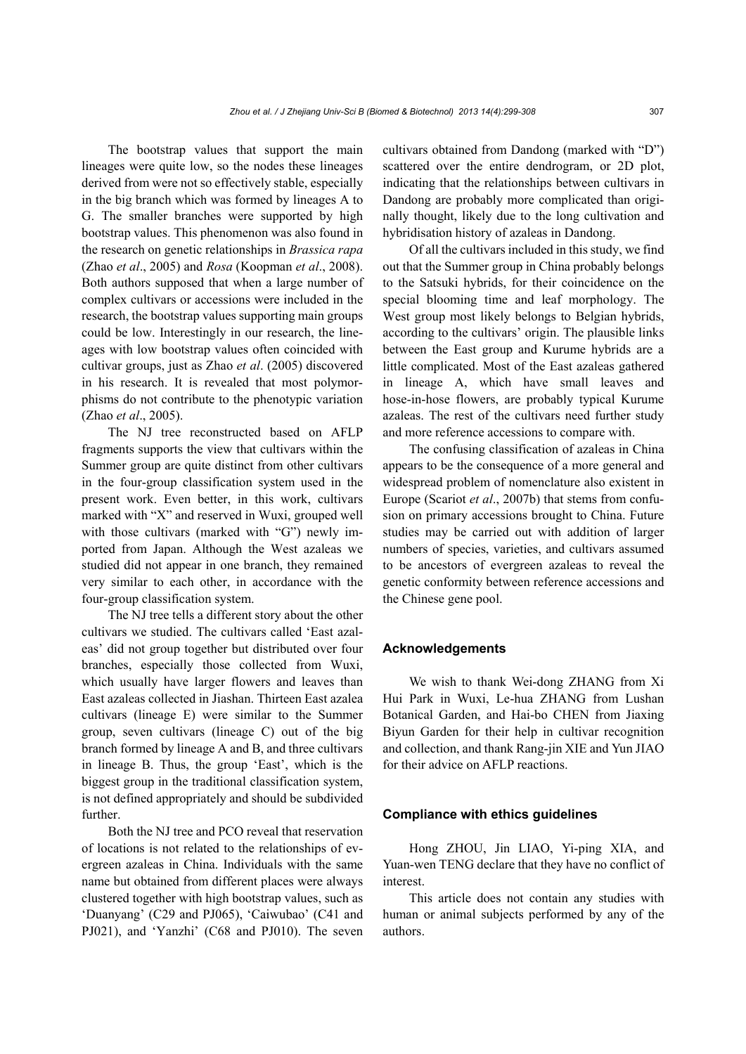The bootstrap values that support the main lineages were quite low, so the nodes these lineages derived from were not so effectively stable, especially in the big branch which was formed by lineages A to G. The smaller branches were supported by high bootstrap values. This phenomenon was also found in the research on genetic relationships in *Brassica rapa* (Zhao *et al*., 2005) and *Rosa* (Koopman *et al*., 2008). Both authors supposed that when a large number of complex cultivars or accessions were included in the research, the bootstrap values supporting main groups could be low. Interestingly in our research, the lineages with low bootstrap values often coincided with cultivar groups, just as Zhao *et al*. (2005) discovered in his research. It is revealed that most polymorphisms do not contribute to the phenotypic variation (Zhao *et al*., 2005).

The NJ tree reconstructed based on AFLP fragments supports the view that cultivars within the Summer group are quite distinct from other cultivars in the four-group classification system used in the present work. Even better, in this work, cultivars marked with "X" and reserved in Wuxi, grouped well with those cultivars (marked with "G") newly imported from Japan. Although the West azaleas we studied did not appear in one branch, they remained very similar to each other, in accordance with the four-group classification system.

The NJ tree tells a different story about the other cultivars we studied. The cultivars called 'East azaleas' did not group together but distributed over four branches, especially those collected from Wuxi, which usually have larger flowers and leaves than East azaleas collected in Jiashan. Thirteen East azalea cultivars (lineage E) were similar to the Summer group, seven cultivars (lineage C) out of the big branch formed by lineage A and B, and three cultivars in lineage B. Thus, the group 'East', which is the biggest group in the traditional classification system, is not defined appropriately and should be subdivided further.

Both the NJ tree and PCO reveal that reservation of locations is not related to the relationships of evergreen azaleas in China. Individuals with the same name but obtained from different places were always clustered together with high bootstrap values, such as 'Duanyang' (C29 and PJ065), 'Caiwubao' (C41 and PJ021), and 'Yanzhi' (C68 and PJ010). The seven cultivars obtained from Dandong (marked with "D") scattered over the entire dendrogram, or 2D plot, indicating that the relationships between cultivars in Dandong are probably more complicated than originally thought, likely due to the long cultivation and hybridisation history of azaleas in Dandong.

Of all the cultivars included in this study, we find out that the Summer group in China probably belongs to the Satsuki hybrids, for their coincidence on the special blooming time and leaf morphology. The West group most likely belongs to Belgian hybrids, according to the cultivars' origin. The plausible links between the East group and Kurume hybrids are a little complicated. Most of the East azaleas gathered in lineage A, which have small leaves and hose-in-hose flowers, are probably typical Kurume azaleas. The rest of the cultivars need further study and more reference accessions to compare with.

The confusing classification of azaleas in China appears to be the consequence of a more general and widespread problem of nomenclature also existent in Europe (Scariot *et al*., 2007b) that stems from confusion on primary accessions brought to China. Future studies may be carried out with addition of larger numbers of species, varieties, and cultivars assumed to be ancestors of evergreen azaleas to reveal the genetic conformity between reference accessions and the Chinese gene pool.

## **Acknowledgements**

We wish to thank Wei-dong ZHANG from Xi Hui Park in Wuxi, Le-hua ZHANG from Lushan Botanical Garden, and Hai-bo CHEN from Jiaxing Biyun Garden for their help in cultivar recognition and collection, and thank Rang-jin XIE and Yun JIAO for their advice on AFLP reactions.

## **Compliance with ethics guidelines**

Hong ZHOU, Jin LIAO, Yi-ping XIA, and Yuan-wen TENG declare that they have no conflict of interest.

This article does not contain any studies with human or animal subjects performed by any of the authors.